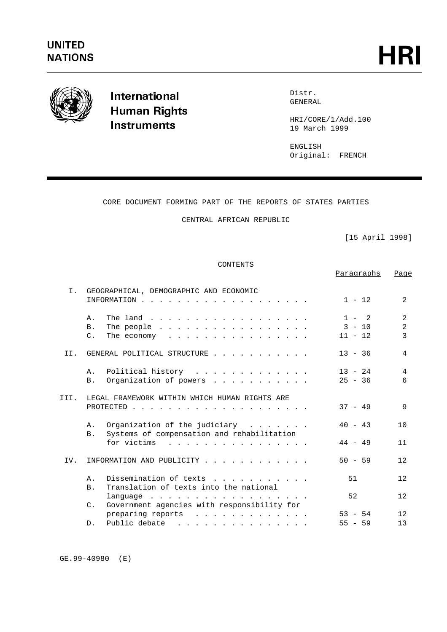

International **Human Rights Instruments** 

Distr. GENERAL

HRI/CORE/1/Add.100 19 March 1999

ENGLISH Original: FRENCH

# CORE DOCUMENT FORMING PART OF THE REPORTS OF STATES PARTIES

# CENTRAL AFRICAN REPUBLIC

[15 April 1998]

Paragraphs Page

### CONTENTS

| INFORMATION                                                                                                                                                                                  | $1 - 12$                                                                                                                                                                                                                                                                                                                                                                                                                                                 | 2                                                                                                                                                                                                                           |
|----------------------------------------------------------------------------------------------------------------------------------------------------------------------------------------------|----------------------------------------------------------------------------------------------------------------------------------------------------------------------------------------------------------------------------------------------------------------------------------------------------------------------------------------------------------------------------------------------------------------------------------------------------------|-----------------------------------------------------------------------------------------------------------------------------------------------------------------------------------------------------------------------------|
| Α.<br>The land                                                                                                                                                                               | $1 - 2$                                                                                                                                                                                                                                                                                                                                                                                                                                                  | 2                                                                                                                                                                                                                           |
| B.                                                                                                                                                                                           |                                                                                                                                                                                                                                                                                                                                                                                                                                                          | 2                                                                                                                                                                                                                           |
| $C_{\infty}$                                                                                                                                                                                 | $11 - 12$                                                                                                                                                                                                                                                                                                                                                                                                                                                | 3                                                                                                                                                                                                                           |
| GENERAL POLITICAL STRUCTURE                                                                                                                                                                  | $13 - 36$                                                                                                                                                                                                                                                                                                                                                                                                                                                | 4                                                                                                                                                                                                                           |
| Α.                                                                                                                                                                                           | $13 - 24$                                                                                                                                                                                                                                                                                                                                                                                                                                                | 4                                                                                                                                                                                                                           |
| <b>B</b> .                                                                                                                                                                                   | $25 - 36$                                                                                                                                                                                                                                                                                                                                                                                                                                                | 6                                                                                                                                                                                                                           |
|                                                                                                                                                                                              |                                                                                                                                                                                                                                                                                                                                                                                                                                                          |                                                                                                                                                                                                                             |
| LEGAL FRAMEWORK WITHIN WHICH HUMAN RIGHTS ARE                                                                                                                                                |                                                                                                                                                                                                                                                                                                                                                                                                                                                          |                                                                                                                                                                                                                             |
|                                                                                                                                                                                              | $37 - 49$                                                                                                                                                                                                                                                                                                                                                                                                                                                | 9                                                                                                                                                                                                                           |
|                                                                                                                                                                                              |                                                                                                                                                                                                                                                                                                                                                                                                                                                          |                                                                                                                                                                                                                             |
| Α.                                                                                                                                                                                           |                                                                                                                                                                                                                                                                                                                                                                                                                                                          | 10                                                                                                                                                                                                                          |
| <b>B</b> .                                                                                                                                                                                   |                                                                                                                                                                                                                                                                                                                                                                                                                                                          |                                                                                                                                                                                                                             |
|                                                                                                                                                                                              |                                                                                                                                                                                                                                                                                                                                                                                                                                                          | 11                                                                                                                                                                                                                          |
|                                                                                                                                                                                              |                                                                                                                                                                                                                                                                                                                                                                                                                                                          |                                                                                                                                                                                                                             |
|                                                                                                                                                                                              |                                                                                                                                                                                                                                                                                                                                                                                                                                                          | 12.                                                                                                                                                                                                                         |
|                                                                                                                                                                                              |                                                                                                                                                                                                                                                                                                                                                                                                                                                          | 12                                                                                                                                                                                                                          |
|                                                                                                                                                                                              |                                                                                                                                                                                                                                                                                                                                                                                                                                                          |                                                                                                                                                                                                                             |
|                                                                                                                                                                                              |                                                                                                                                                                                                                                                                                                                                                                                                                                                          | 12.                                                                                                                                                                                                                         |
|                                                                                                                                                                                              |                                                                                                                                                                                                                                                                                                                                                                                                                                                          |                                                                                                                                                                                                                             |
|                                                                                                                                                                                              | $53 - 54$                                                                                                                                                                                                                                                                                                                                                                                                                                                | 12.                                                                                                                                                                                                                         |
| Public debate<br>$D$ .<br>$\mathbf{r}$ , $\mathbf{r}$ , $\mathbf{r}$ , $\mathbf{r}$ , $\mathbf{r}$ , $\mathbf{r}$ , $\mathbf{r}$ , $\mathbf{r}$ , $\mathbf{r}$ , $\mathbf{r}$ , $\mathbf{r}$ | $55 - 59$                                                                                                                                                                                                                                                                                                                                                                                                                                                | 13                                                                                                                                                                                                                          |
|                                                                                                                                                                                              | GEOGRAPHICAL, DEMOGRAPHIC AND ECONOMIC<br>Systems of compensation and rehabilitation<br>for victims<br>$\frac{1}{2}$ , $\frac{1}{2}$ , $\frac{1}{2}$ , $\frac{1}{2}$ , $\frac{1}{2}$ , $\frac{1}{2}$ , $\frac{1}{2}$ , $\frac{1}{2}$ , $\frac{1}{2}$ , $\frac{1}{2}$ , $\frac{1}{2}$ , $\frac{1}{2}$<br>INFORMATION AND PUBLICITY<br>Α.<br>Translation of texts into the national<br>B.<br>Government agencies with responsibility for<br>$\mathsf{C}$ . | $3 - 10$<br>The economy $\cdots$<br>Political history<br>Organization of powers<br>$40 - 43$<br>Organization of the judiciary $\cdots$<br>$44 - 49$<br>$50 - 59$<br>Dissemination of texts<br>51<br>52<br>preparing reports |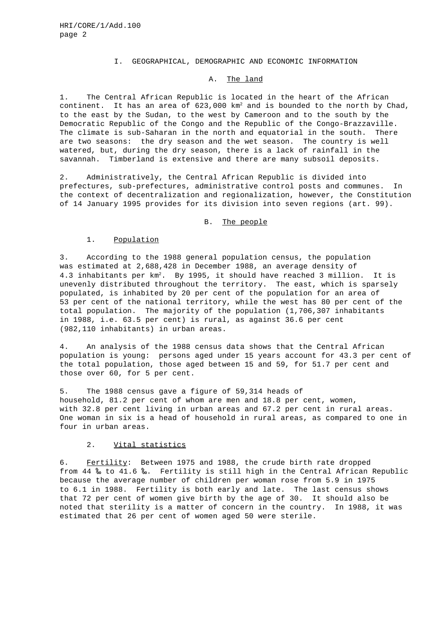### I. GEOGRAPHICAL, DEMOGRAPHIC AND ECONOMIC INFORMATION

### A. The land

1. The Central African Republic is located in the heart of the African continent. It has an area of  $623,000$  km<sup>2</sup> and is bounded to the north by Chad, to the east by the Sudan, to the west by Cameroon and to the south by the Democratic Republic of the Congo and the Republic of the Congo-Brazzaville. The climate is sub-Saharan in the north and equatorial in the south. There are two seasons: the dry season and the wet season. The country is well watered, but, during the dry season, there is a lack of rainfall in the savannah. Timberland is extensive and there are many subsoil deposits.

2. Administratively, the Central African Republic is divided into prefectures, sub-prefectures, administrative control posts and communes. In the context of decentralization and regionalization, however, the Constitution of 14 January 1995 provides for its division into seven regions (art. 99).

### B. The people

### 1. Population

3. According to the 1988 general population census, the population was estimated at 2,688,428 in December 1988, an average density of 4.3 inhabitants per km<sup>2</sup>. By 1995, it should have reached 3 million. It is unevenly distributed throughout the territory. The east, which is sparsely populated, is inhabited by 20 per cent of the population for an area of 53 per cent of the national territory, while the west has 80 per cent of the total population. The majority of the population (1,706,307 inhabitants in 1988, i.e. 63.5 per cent) is rural, as against 36.6 per cent (982,110 inhabitants) in urban areas.

4. An analysis of the 1988 census data shows that the Central African population is young: persons aged under 15 years account for 43.3 per cent of the total population, those aged between 15 and 59, for 51.7 per cent and those over 60, for 5 per cent.

5. The 1988 census gave a figure of 59,314 heads of household, 81.2 per cent of whom are men and 18.8 per cent, women, with 32.8 per cent living in urban areas and 67.2 per cent in rural areas. One woman in six is a head of household in rural areas, as compared to one in four in urban areas.

### 2. Vital statistics

6. Fertility: Between 1975 and 1988, the crude birth rate dropped from 44 ‰ to 41.6 ‰. Fertility is still high in the Central African Republic because the average number of children per woman rose from 5.9 in 1975 to 6.1 in 1988. Fertility is both early and late. The last census shows that 72 per cent of women give birth by the age of 30. It should also be noted that sterility is a matter of concern in the country. In 1988, it was estimated that 26 per cent of women aged 50 were sterile.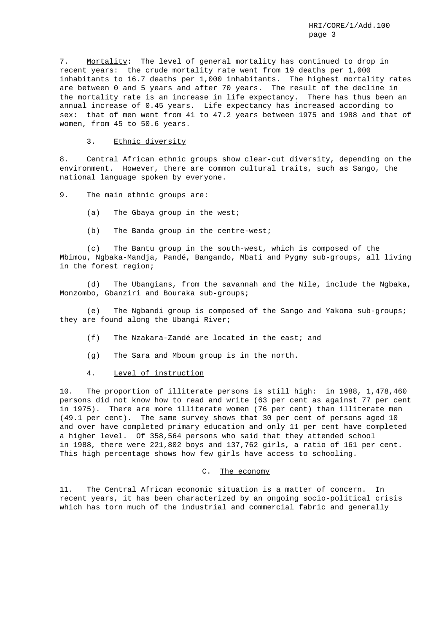7. Mortality: The level of general mortality has continued to drop in recent years: the crude mortality rate went from 19 deaths per 1,000 inhabitants to 16.7 deaths per 1,000 inhabitants. The highest mortality rates are between 0 and 5 years and after 70 years. The result of the decline in the mortality rate is an increase in life expectancy. There has thus been an annual increase of 0.45 years. Life expectancy has increased according to sex: that of men went from 41 to 47.2 years between 1975 and 1988 and that of women, from 45 to 50.6 years.

3. Ethnic diversity

8. Central African ethnic groups show clear-cut diversity, depending on the environment. However, there are common cultural traits, such as Sango, the national language spoken by everyone.

9. The main ethnic groups are:

- (a) The Gbaya group in the west;
- (b) The Banda group in the centre-west;

(c) The Bantu group in the south-west, which is composed of the Mbimou, Ngbaka-Mandja, Pandé, Bangando, Mbati and Pygmy sub-groups, all living in the forest region;

(d) The Ubangians, from the savannah and the Nile, include the Ngbaka, Monzombo, Gbanziri and Bouraka sub-groups;

(e) The Ngbandi group is composed of the Sango and Yakoma sub-groups; they are found along the Ubangi River;

- (f) The Nzakara-Zandé are located in the east; and
- (g) The Sara and Mboum group is in the north.
- 4. Level of instruction

10. The proportion of illiterate persons is still high: in 1988, 1,478,460 persons did not know how to read and write (63 per cent as against 77 per cent in 1975). There are more illiterate women (76 per cent) than illiterate men (49.1 per cent). The same survey shows that 30 per cent of persons aged 10 and over have completed primary education and only 11 per cent have completed a higher level. Of 358,564 persons who said that they attended school in 1988, there were 221,802 boys and 137,762 girls, a ratio of 161 per cent. This high percentage shows how few girls have access to schooling.

#### C. The economy

11. The Central African economic situation is a matter of concern. In recent years, it has been characterized by an ongoing socio-political crisis which has torn much of the industrial and commercial fabric and generally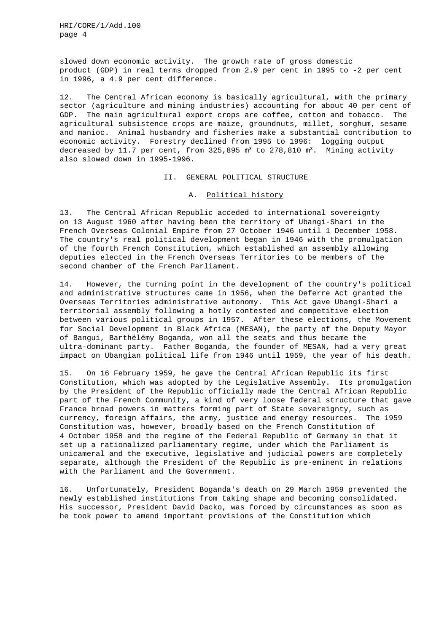slowed down economic activity. The growth rate of gross domestic product (GDP) in real terms dropped from 2.9 per cent in 1995 to -2 per cent in 1996, a 4.9 per cent difference.

12. The Central African economy is basically agricultural, with the primary sector (agriculture and mining industries) accounting for about 40 per cent of GDP. The main agricultural export crops are coffee, cotton and tobacco. The agricultural subsistence crops are maize, groundnuts, millet, sorghum, sesame and manioc. Animal husbandry and fisheries make a substantial contribution to economic activity. Forestry declined from 1995 to 1996: logging output decreased by 11.7 per cent, from  $325,895$  m<sup>3</sup> to  $278,810$  m<sup>3</sup>. Mining activity also slowed down in 1995-1996.

II. GENERAL POLITICAL STRUCTURE

#### A. Political history

13. The Central African Republic acceded to international sovereignty on 13 August 1960 after having been the territory of Ubangi-Shari in the French Overseas Colonial Empire from 27 October 1946 until 1 December 1958. The country's real political development began in 1946 with the promulgation of the fourth French Constitution, which established an assembly allowing deputies elected in the French Overseas Territories to be members of the second chamber of the French Parliament.

14. However, the turning point in the development of the country's political and administrative structures came in 1956, when the Deferre Act granted the Overseas Territories administrative autonomy. This Act gave Ubangi-Shari a territorial assembly following a hotly contested and competitive election between various political groups in 1957. After these elections, the Movement for Social Development in Black Africa (MESAN), the party of the Deputy Mayor of Bangui, Barthélémy Boganda, won all the seats and thus became the ultra-dominant party. Father Boganda, the founder of MESAN, had a very great impact on Ubangian political life from 1946 until 1959, the year of his death.

15. On 16 February 1959, he gave the Central African Republic its first Constitution, which was adopted by the Legislative Assembly. Its promulgation by the President of the Republic officially made the Central African Republic part of the French Community, a kind of very loose federal structure that gave France broad powers in matters forming part of State sovereignty, such as currency, foreign affairs, the army, justice and energy resources. The 1959 Constitution was, however, broadly based on the French Constitution of 4 October 1958 and the regime of the Federal Republic of Germany in that it set up a rationalized parliamentary regime, under which the Parliament is unicameral and the executive, legislative and judicial powers are completely separate, although the President of the Republic is pre-eminent in relations with the Parliament and the Government.

16. Unfortunately, President Boganda's death on 29 March 1959 prevented the newly established institutions from taking shape and becoming consolidated. His successor, President David Dacko, was forced by circumstances as soon as he took power to amend important provisions of the Constitution which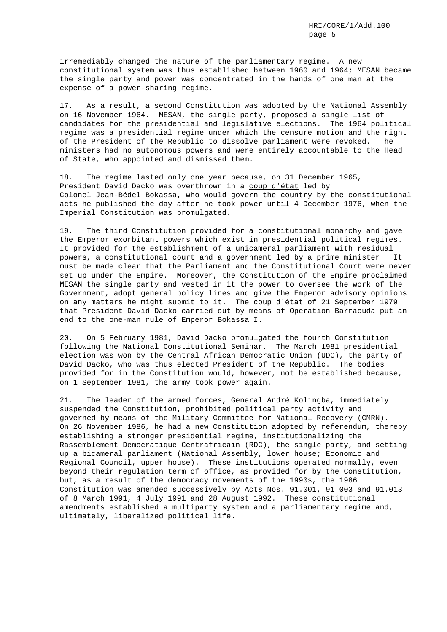irremediably changed the nature of the parliamentary regime. A new constitutional system was thus established between 1960 and 1964; MESAN became the single party and power was concentrated in the hands of one man at the expense of a power-sharing regime.

17. As a result, a second Constitution was adopted by the National Assembly on 16 November 1964. MESAN, the single party, proposed a single list of candidates for the presidential and legislative elections. The 1964 political regime was a presidential regime under which the censure motion and the right of the President of the Republic to dissolve parliament were revoked. The ministers had no autonomous powers and were entirely accountable to the Head of State, who appointed and dismissed them.

18. The regime lasted only one year because, on 31 December 1965, President David Dacko was overthrown in a coup d'état led by Colonel Jean-Bédel Bokassa, who would govern the country by the constitutional acts he published the day after he took power until 4 December 1976, when the Imperial Constitution was promulgated.

19. The third Constitution provided for a constitutional monarchy and gave the Emperor exorbitant powers which exist in presidential political regimes. It provided for the establishment of a unicameral parliament with residual powers, a constitutional court and a government led by a prime minister. It must be made clear that the Parliament and the Constitutional Court were never set up under the Empire. Moreover, the Constitution of the Empire proclaimed MESAN the single party and vested in it the power to oversee the work of the Government, adopt general policy lines and give the Emperor advisory opinions on any matters he might submit to it. The coup d'état of 21 September 1979 that President David Dacko carried out by means of Operation Barracuda put an end to the one-man rule of Emperor Bokassa I.

20. On 5 February 1981, David Dacko promulgated the fourth Constitution following the National Constitutional Seminar. The March 1981 presidential election was won by the Central African Democratic Union (UDC), the party of David Dacko, who was thus elected President of the Republic. The bodies provided for in the Constitution would, however, not be established because, on 1 September 1981, the army took power again.

21. The leader of the armed forces, General André Kolingba, immediately suspended the Constitution, prohibited political party activity and governed by means of the Military Committee for National Recovery (CMRN). On 26 November 1986, he had a new Constitution adopted by referendum, thereby establishing a stronger presidential regime, institutionalizing the Rassemblement Democratique Centrafricain (RDC), the single party, and setting up a bicameral parliament (National Assembly, lower house; Economic and Regional Council, upper house). These institutions operated normally, even beyond their regulation term of office, as provided for by the Constitution, but, as a result of the democracy movements of the 1990s, the 1986 Constitution was amended successively by Acts Nos. 91.001, 91.003 and 91.013 of 8 March 1991, 4 July 1991 and 28 August 1992. These constitutional amendments established a multiparty system and a parliamentary regime and, ultimately, liberalized political life.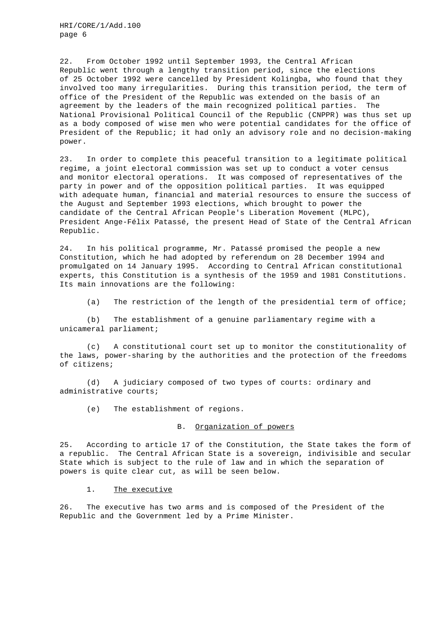22. From October 1992 until September 1993, the Central African Republic went through a lengthy transition period, since the elections of 25 October 1992 were cancelled by President Kolingba, who found that they involved too many irregularities. During this transition period, the term of office of the President of the Republic was extended on the basis of an agreement by the leaders of the main recognized political parties. The National Provisional Political Council of the Republic (CNPPR) was thus set up as a body composed of wise men who were potential candidates for the office of President of the Republic; it had only an advisory role and no decision-making power.

23. In order to complete this peaceful transition to a legitimate political regime, a joint electoral commission was set up to conduct a voter census and monitor electoral operations. It was composed of representatives of the party in power and of the opposition political parties. It was equipped with adequate human, financial and material resources to ensure the success of the August and September 1993 elections, which brought to power the candidate of the Central African People's Liberation Movement (MLPC), President Ange-Félix Patassé, the present Head of State of the Central African Republic.

24. In his political programme, Mr. Patassé promised the people a new Constitution, which he had adopted by referendum on 28 December 1994 and promulgated on 14 January 1995. According to Central African constitutional experts, this Constitution is a synthesis of the 1959 and 1981 Constitutions. Its main innovations are the following:

(a) The restriction of the length of the presidential term of office;

(b) The establishment of a genuine parliamentary regime with a unicameral parliament;

(c) A constitutional court set up to monitor the constitutionality of the laws, power-sharing by the authorities and the protection of the freedoms of citizens;

(d) A judiciary composed of two types of courts: ordinary and administrative courts;

(e) The establishment of regions.

#### B. Organization of powers

25. According to article 17 of the Constitution, the State takes the form of a republic. The Central African State is a sovereign, indivisible and secular State which is subject to the rule of law and in which the separation of powers is quite clear cut, as will be seen below.

1. The executive

26. The executive has two arms and is composed of the President of the Republic and the Government led by a Prime Minister.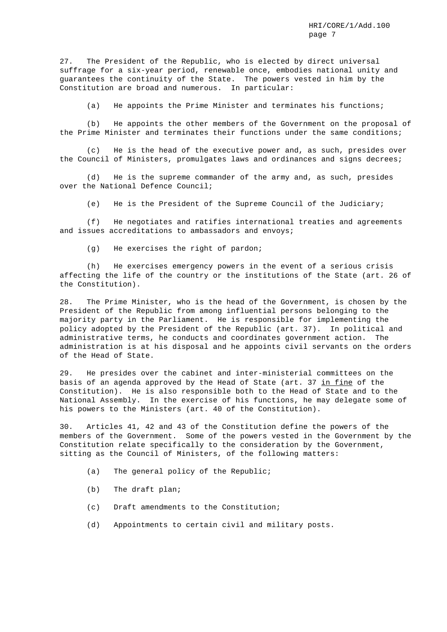27. The President of the Republic, who is elected by direct universal suffrage for a six-year period, renewable once, embodies national unity and guarantees the continuity of the State. The powers vested in him by the Constitution are broad and numerous. In particular:

(a) He appoints the Prime Minister and terminates his functions;

(b) He appoints the other members of the Government on the proposal of the Prime Minister and terminates their functions under the same conditions;

(c) He is the head of the executive power and, as such, presides over the Council of Ministers, promulgates laws and ordinances and signs decrees;

(d) He is the supreme commander of the army and, as such, presides over the National Defence Council;

(e) He is the President of the Supreme Council of the Judiciary;

(f) He negotiates and ratifies international treaties and agreements and issues accreditations to ambassadors and envoys;

(g) He exercises the right of pardon;

(h) He exercises emergency powers in the event of a serious crisis affecting the life of the country or the institutions of the State (art. 26 of the Constitution).

28. The Prime Minister, who is the head of the Government, is chosen by the President of the Republic from among influential persons belonging to the majority party in the Parliament. He is responsible for implementing the policy adopted by the President of the Republic (art. 37). In political and administrative terms, he conducts and coordinates government action. The administration is at his disposal and he appoints civil servants on the orders of the Head of State.

29. He presides over the cabinet and inter-ministerial committees on the basis of an agenda approved by the Head of State (art. 37 in fine of the Constitution). He is also responsible both to the Head of State and to the National Assembly. In the exercise of his functions, he may delegate some of his powers to the Ministers (art. 40 of the Constitution).

30. Articles 41, 42 and 43 of the Constitution define the powers of the members of the Government. Some of the powers vested in the Government by the Constitution relate specifically to the consideration by the Government, sitting as the Council of Ministers, of the following matters:

- (a) The general policy of the Republic;
- (b) The draft plan;
- (c) Draft amendments to the Constitution;
- (d) Appointments to certain civil and military posts.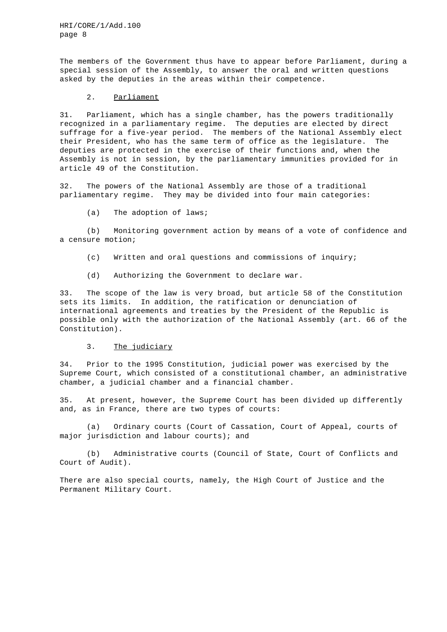The members of the Government thus have to appear before Parliament, during a special session of the Assembly, to answer the oral and written questions asked by the deputies in the areas within their competence.

### 2. Parliament

31. Parliament, which has a single chamber, has the powers traditionally recognized in a parliamentary regime. The deputies are elected by direct suffrage for a five-year period. The members of the National Assembly elect their President, who has the same term of office as the legislature. The deputies are protected in the exercise of their functions and, when the Assembly is not in session, by the parliamentary immunities provided for in article 49 of the Constitution.

32. The powers of the National Assembly are those of a traditional parliamentary regime. They may be divided into four main categories:

(a) The adoption of laws;

(b) Monitoring government action by means of a vote of confidence and a censure motion;

- (c) Written and oral questions and commissions of inquiry;
- (d) Authorizing the Government to declare war.

33. The scope of the law is very broad, but article 58 of the Constitution sets its limits. In addition, the ratification or denunciation of international agreements and treaties by the President of the Republic is possible only with the authorization of the National Assembly (art. 66 of the Constitution).

#### 3. The judiciary

34. Prior to the 1995 Constitution, judicial power was exercised by the Supreme Court, which consisted of a constitutional chamber, an administrative chamber, a judicial chamber and a financial chamber.

35. At present, however, the Supreme Court has been divided up differently and, as in France, there are two types of courts:

(a) Ordinary courts (Court of Cassation, Court of Appeal, courts of major jurisdiction and labour courts); and

(b) Administrative courts (Council of State, Court of Conflicts and Court of Audit).

There are also special courts, namely, the High Court of Justice and the Permanent Military Court.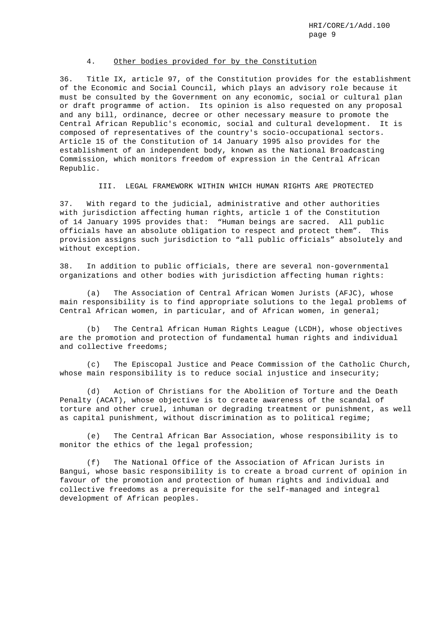### 4. Other bodies provided for by the Constitution

36. Title IX, article 97, of the Constitution provides for the establishment of the Economic and Social Council, which plays an advisory role because it must be consulted by the Government on any economic, social or cultural plan or draft programme of action. Its opinion is also requested on any proposal and any bill, ordinance, decree or other necessary measure to promote the Central African Republic's economic, social and cultural development. It is composed of representatives of the country's socio-occupational sectors. Article 15 of the Constitution of 14 January 1995 also provides for the establishment of an independent body, known as the National Broadcasting Commission, which monitors freedom of expression in the Central African Republic.

III. LEGAL FRAMEWORK WITHIN WHICH HUMAN RIGHTS ARE PROTECTED

37. With regard to the judicial, administrative and other authorities with jurisdiction affecting human rights, article 1 of the Constitution of 14 January 1995 provides that: "Human beings are sacred. All public officials have an absolute obligation to respect and protect them". This provision assigns such jurisdiction to "all public officials" absolutely and without exception.

38. In addition to public officials, there are several non-governmental organizations and other bodies with jurisdiction affecting human rights:

(a) The Association of Central African Women Jurists (AFJC), whose main responsibility is to find appropriate solutions to the legal problems of Central African women, in particular, and of African women, in general;

(b) The Central African Human Rights League (LCDH), whose objectives are the promotion and protection of fundamental human rights and individual and collective freedoms;

(c) The Episcopal Justice and Peace Commission of the Catholic Church, whose main responsibility is to reduce social injustice and insecurity;

(d) Action of Christians for the Abolition of Torture and the Death Penalty (ACAT), whose objective is to create awareness of the scandal of torture and other cruel, inhuman or degrading treatment or punishment, as well as capital punishment, without discrimination as to political regime;

(e) The Central African Bar Association, whose responsibility is to monitor the ethics of the legal profession;

(f) The National Office of the Association of African Jurists in Bangui, whose basic responsibility is to create a broad current of opinion in favour of the promotion and protection of human rights and individual and collective freedoms as a prerequisite for the self-managed and integral development of African peoples.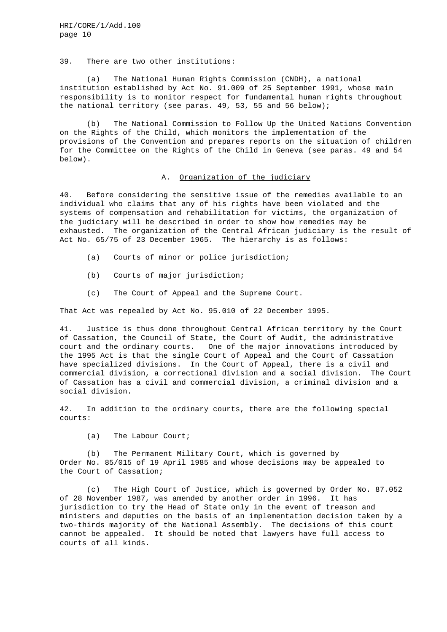#### 39. There are two other institutions:

(a) The National Human Rights Commission (CNDH), a national institution established by Act No. 91.009 of 25 September 1991, whose main responsibility is to monitor respect for fundamental human rights throughout the national territory (see paras. 49, 53, 55 and 56 below);

(b) The National Commission to Follow Up the United Nations Convention on the Rights of the Child, which monitors the implementation of the provisions of the Convention and prepares reports on the situation of children for the Committee on the Rights of the Child in Geneva (see paras. 49 and 54 below).

### A. Organization of the judiciary

40. Before considering the sensitive issue of the remedies available to an individual who claims that any of his rights have been violated and the systems of compensation and rehabilitation for victims, the organization of the judiciary will be described in order to show how remedies may be exhausted. The organization of the Central African judiciary is the result of Act No. 65/75 of 23 December 1965. The hierarchy is as follows:

- (a) Courts of minor or police jurisdiction;
- (b) Courts of major jurisdiction;
- (c) The Court of Appeal and the Supreme Court.

That Act was repealed by Act No. 95.010 of 22 December 1995.

41. Justice is thus done throughout Central African territory by the Court of Cassation, the Council of State, the Court of Audit, the administrative court and the ordinary courts. One of the major innovations introduced by the 1995 Act is that the single Court of Appeal and the Court of Cassation have specialized divisions. In the Court of Appeal, there is a civil and commercial division, a correctional division and a social division. The Court of Cassation has a civil and commercial division, a criminal division and a social division.

42. In addition to the ordinary courts, there are the following special courts:

(a) The Labour Court;

(b) The Permanent Military Court, which is governed by Order No. 85/015 of 19 April 1985 and whose decisions may be appealed to the Court of Cassation;

(c) The High Court of Justice, which is governed by Order No. 87.052 of 28 November 1987, was amended by another order in 1996. It has jurisdiction to try the Head of State only in the event of treason and ministers and deputies on the basis of an implementation decision taken by a two-thirds majority of the National Assembly. The decisions of this court cannot be appealed. It should be noted that lawyers have full access to courts of all kinds.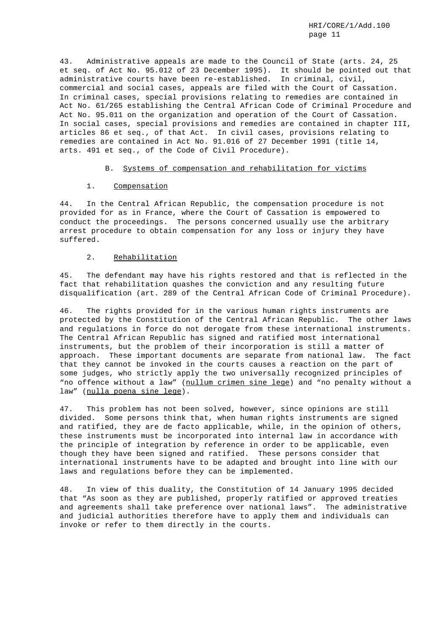43. Administrative appeals are made to the Council of State (arts. 24, 25 et seq. of Act No. 95.012 of 23 December 1995). It should be pointed out that administrative courts have been re-established. In criminal, civil, commercial and social cases, appeals are filed with the Court of Cassation. In criminal cases, special provisions relating to remedies are contained in Act No. 61/265 establishing the Central African Code of Criminal Procedure and Act No. 95.011 on the organization and operation of the Court of Cassation. In social cases, special provisions and remedies are contained in chapter III, articles 86 et seq., of that Act. In civil cases, provisions relating to remedies are contained in Act No. 91.016 of 27 December 1991 (title 14, arts. 491 et seq., of the Code of Civil Procedure).

### B. Systems of compensation and rehabilitation for victims

#### 1. Compensation

44. In the Central African Republic, the compensation procedure is not provided for as in France, where the Court of Cassation is empowered to conduct the proceedings. The persons concerned usually use the arbitrary arrest procedure to obtain compensation for any loss or injury they have suffered.

### 2. Rehabilitation

45. The defendant may have his rights restored and that is reflected in the fact that rehabilitation quashes the conviction and any resulting future disqualification (art. 289 of the Central African Code of Criminal Procedure).

46. The rights provided for in the various human rights instruments are protected by the Constitution of the Central African Republic. The other laws and regulations in force do not derogate from these international instruments. The Central African Republic has signed and ratified most international instruments, but the problem of their incorporation is still a matter of approach. These important documents are separate from national law. The fact that they cannot be invoked in the courts causes a reaction on the part of some judges, who strictly apply the two universally recognized principles of "no offence without a law" (nullum crimen sine lege) and "no penalty without a law" (nulla poena sine lege).

47. This problem has not been solved, however, since opinions are still divided. Some persons think that, when human rights instruments are signed and ratified, they are de facto applicable, while, in the opinion of others, these instruments must be incorporated into internal law in accordance with the principle of integration by reference in order to be applicable, even though they have been signed and ratified. These persons consider that international instruments have to be adapted and brought into line with our laws and regulations before they can be implemented.

48. In view of this duality, the Constitution of 14 January 1995 decided that "As soon as they are published, properly ratified or approved treaties and agreements shall take preference over national laws". The administrative and judicial authorities therefore have to apply them and individuals can invoke or refer to them directly in the courts.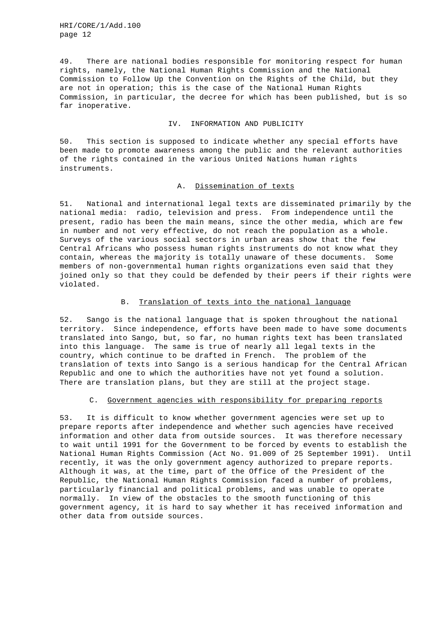49. There are national bodies responsible for monitoring respect for human rights, namely, the National Human Rights Commission and the National Commission to Follow Up the Convention on the Rights of the Child, but they are not in operation; this is the case of the National Human Rights Commission, in particular, the decree for which has been published, but is so far inoperative.

#### IV. INFORMATION AND PUBLICITY

50. This section is supposed to indicate whether any special efforts have been made to promote awareness among the public and the relevant authorities of the rights contained in the various United Nations human rights instruments.

### A. Dissemination of texts

51. National and international legal texts are disseminated primarily by the national media: radio, television and press. From independence until the present, radio has been the main means, since the other media, which are few in number and not very effective, do not reach the population as a whole. Surveys of the various social sectors in urban areas show that the few Central Africans who possess human rights instruments do not know what they contain, whereas the majority is totally unaware of these documents. Some members of non-governmental human rights organizations even said that they joined only so that they could be defended by their peers if their rights were violated.

## B. Translation of texts into the national language

52. Sango is the national language that is spoken throughout the national territory. Since independence, efforts have been made to have some documents translated into Sango, but, so far, no human rights text has been translated into this language. The same is true of nearly all legal texts in the country, which continue to be drafted in French. The problem of the translation of texts into Sango is a serious handicap for the Central African Republic and one to which the authorities have not yet found a solution. There are translation plans, but they are still at the project stage.

#### C. Government agencies with responsibility for preparing reports

53. It is difficult to know whether government agencies were set up to prepare reports after independence and whether such agencies have received information and other data from outside sources. It was therefore necessary to wait until 1991 for the Government to be forced by events to establish the National Human Rights Commission (Act No. 91.009 of 25 September 1991). Until recently, it was the only government agency authorized to prepare reports. Although it was, at the time, part of the Office of the President of the Republic, the National Human Rights Commission faced a number of problems, particularly financial and political problems, and was unable to operate normally. In view of the obstacles to the smooth functioning of this government agency, it is hard to say whether it has received information and other data from outside sources.